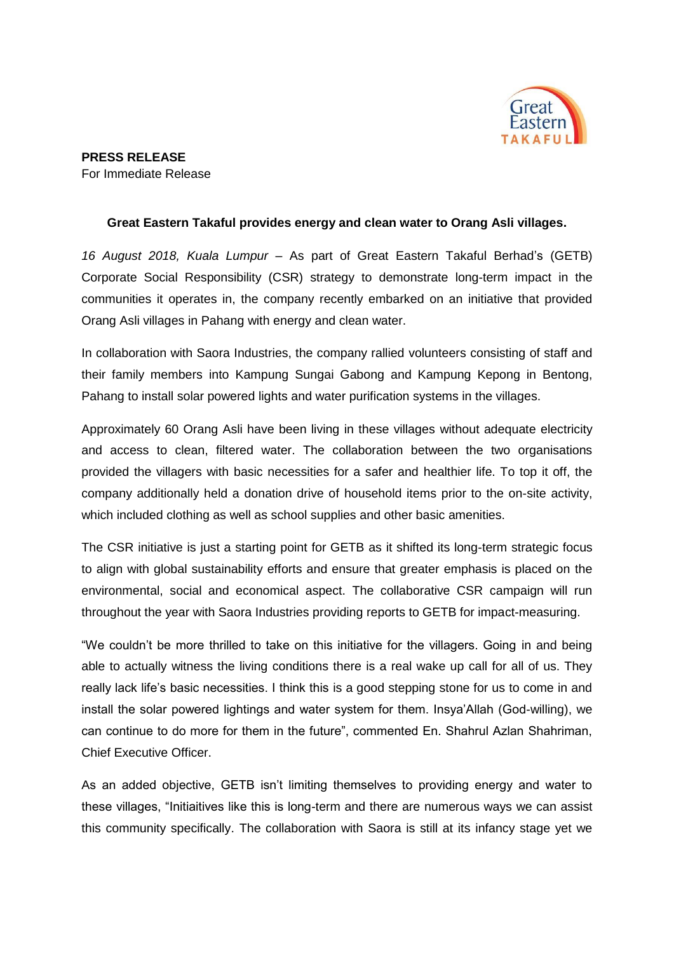

## **Great Eastern Takaful provides energy and clean water to Orang Asli villages.**

*16 August 2018, Kuala Lumpur* – As part of Great Eastern Takaful Berhad's (GETB) Corporate Social Responsibility (CSR) strategy to demonstrate long-term impact in the communities it operates in, the company recently embarked on an initiative that provided Orang Asli villages in Pahang with energy and clean water.

In collaboration with Saora Industries, the company rallied volunteers consisting of staff and their family members into Kampung Sungai Gabong and Kampung Kepong in Bentong, Pahang to install solar powered lights and water purification systems in the villages.

Approximately 60 Orang Asli have been living in these villages without adequate electricity and access to clean, filtered water. The collaboration between the two organisations provided the villagers with basic necessities for a safer and healthier life. To top it off, the company additionally held a donation drive of household items prior to the on-site activity, which included clothing as well as school supplies and other basic amenities.

The CSR initiative is just a starting point for GETB as it shifted its long-term strategic focus to align with global sustainability efforts and ensure that greater emphasis is placed on the environmental, social and economical aspect. The collaborative CSR campaign will run throughout the year with Saora Industries providing reports to GETB for impact-measuring.

"We couldn't be more thrilled to take on this initiative for the villagers. Going in and being able to actually witness the living conditions there is a real wake up call for all of us. They really lack life's basic necessities. I think this is a good stepping stone for us to come in and install the solar powered lightings and water system for them. Insya'Allah (God-willing), we can continue to do more for them in the future", commented En. Shahrul Azlan Shahriman, Chief Executive Officer.

As an added objective, GETB isn't limiting themselves to providing energy and water to these villages, "Initiaitives like this is long-term and there are numerous ways we can assist this community specifically. The collaboration with Saora is still at its infancy stage yet we